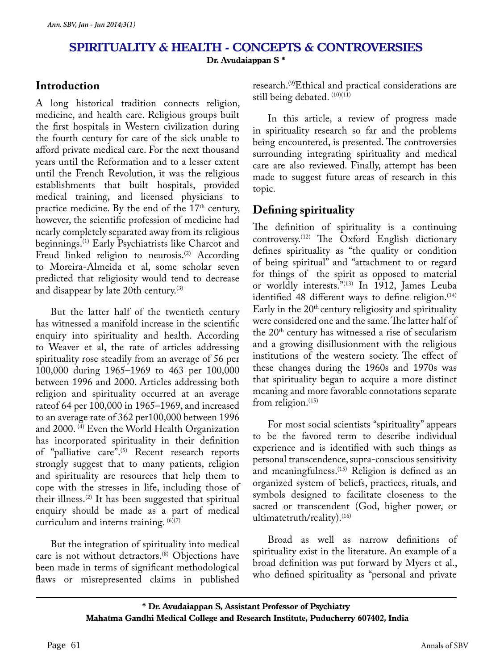## **Spirituality & health - Concepts & controversies Dr. Avudaiappan S \***

# **Introduction**

A long historical tradition connects religion, medicine, and health care. Religious groups built the first hospitals in Western civilization during the fourth century for care of the sick unable to afford private medical care. For the next thousand years until the Reformation and to a lesser extent until the French Revolution, it was the religious establishments that built hospitals, provided medical training, and licensed physicians to practice medicine. By the end of the  $17<sup>th</sup>$  century, however, the scientific profession of medicine had nearly completely separated away from its religious beginnings.<sup>(1)</sup> Early Psychiatrists like Charcot and Freud linked religion to neurosis.<sup>(2)</sup> According to Moreira-Almeida et al, some scholar seven predicted that religiosity would tend to decrease and disappear by late 20th century.<sup>(3)</sup>

But the latter half of the twentieth century has witnessed a manifold increase in the scientific enquiry into spirituality and health. According to Weaver et al, the rate of articles addressing spirituality rose steadily from an average of 56 per 100,000 during 1965–1969 to 463 per 100,000 between 1996 and 2000. Articles addressing both religion and spirituality occurred at an average rateof 64 per 100,000 in 1965–1969, and increased to an average rate of 362 per100,000 between 1996 and 2000. (4) Even the World Health Organization has incorporated spirituality in their definition of "palliative care".<sup>(5)</sup> Recent research reports strongly suggest that to many patients, religion and spirituality are resources that help them to cope with the stresses in life, including those of their illness.(2) It has been suggested that spiritual enquiry should be made as a part of medical curriculum and interns training.  $(6)(7)$ 

But the integration of spirituality into medical care is not without detractors.<sup>(8)</sup> Objections have been made in terms of significant methodological flaws or misrepresented claims in published

research.(9)Ethical and practical considerations are still being debated. (10)(11)

In this article, a review of progress made in spirituality research so far and the problems being encountered, is presented. The controversies surrounding integrating spirituality and medical care are also reviewed. Finally, attempt has been made to suggest future areas of research in this topic.

# **Defining spirituality**

The definition of spirituality is a continuing controversy.(12) The Oxford English dictionary defines spirituality as "the quality or condition of being spiritual" and "attachment to or regard for things of the spirit as opposed to material or worldly interests."(13) In 1912, James Leuba identified 48 different ways to define religion. $(14)$ Early in the 20th century religiosity and spirituality were considered one and the same. The latter half of the  $20<sup>th</sup>$  century has witnessed a rise of secularism and a growing disillusionment with the religious institutions of the western society. The effect of these changes during the 1960s and 1970s was that spirituality began to acquire a more distinct meaning and more favorable connotations separate from religion. $(15)$ 

For most social scientists "spirituality" appears to be the favored term to describe individual experience and is identified with such things as personal transcendence, supra-conscious sensitivity and meaningfulness.<sup>(15)</sup> Religion is defined as an organized system of beliefs, practices, rituals, and symbols designed to facilitate closeness to the sacred or transcendent (God, higher power, or ultimatetruth/reality).<sup>(16)</sup>

Broad as well as narrow definitions of spirituality exist in the literature. An example of a broad definition was put forward by Myers et al., who defined spirituality as "personal and private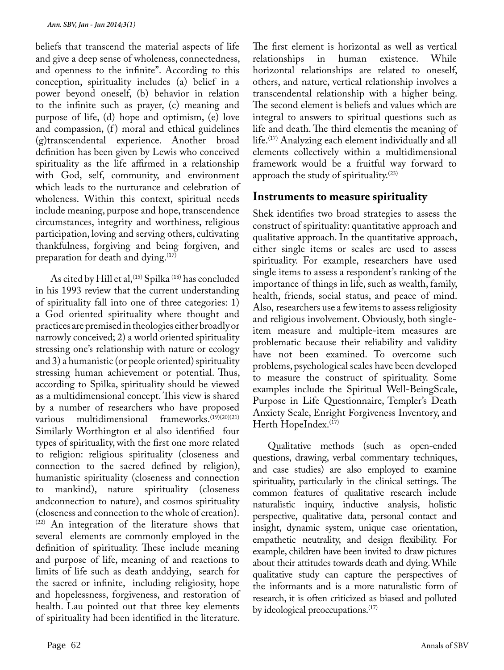beliefs that transcend the material aspects of life and give a deep sense of wholeness, connectedness, and openness to the infinite". According to this conception, spirituality includes (a) belief in a power beyond oneself, (b) behavior in relation to the infinite such as prayer, (c) meaning and purpose of life, (d) hope and optimism, (e) love and compassion, (f) moral and ethical guidelines (g)transcendental experience. Another broad definition has been given by Lewis who conceived spirituality as the life affirmed in a relationship with God, self, community, and environment which leads to the nurturance and celebration of wholeness. Within this context, spiritual needs include meaning, purpose and hope, transcendence circumstances, integrity and worthiness, religious participation, loving and serving others, cultivating thankfulness, forgiving and being forgiven, and preparation for death and dying.<sup>(17)</sup>

As cited by Hill et al, <sup>(15)</sup> Spilka<sup>(18)</sup> has concluded in his 1993 review that the current understanding of spirituality fall into one of three categories: 1) a God oriented spirituality where thought and practices are premised in theologies either broadly or narrowly conceived; 2) a world oriented spirituality stressing one's relationship with nature or ecology and 3) a humanistic (or people oriented) spirituality stressing human achievement or potential. Thus, according to Spilka, spirituality should be viewed as a multidimensional concept. This view is shared by a number of researchers who have proposed<br>various multidimensional frameworks.<sup>(19)(20)(21)</sup> multidimensional frameworks.<sup>(19)(20)(21)</sup> Similarly Worthington et al also identified four types of spirituality, with the first one more related to religion: religious spirituality (closeness and connection to the sacred defined by religion), humanistic spirituality (closeness and connection to mankind), nature spirituality (closeness andconnection to nature), and cosmos spirituality (closeness and connection to the whole of creation). (22) An integration of the literature shows that several elements are commonly employed in the definition of spirituality. These include meaning and purpose of life, meaning of and reactions to limits of life such as death anddying, search for the sacred or infinite, including religiosity, hope and hopelessness, forgiveness, and restoration of health. Lau pointed out that three key elements of spirituality had been identified in the literature.

The first element is horizontal as well as vertical<br>relationships in human existence. While relationships horizontal relationships are related to oneself, others, and nature, vertical relationship involves a transcendental relationship with a higher being. The second element is beliefs and values which are integral to answers to spiritual questions such as life and death. The third elementis the meaning of life.<sup>(17)</sup> Analyzing each element individually and all elements collectively within a multidimensional framework would be a fruitful way forward to approach the study of spirituality. $(23)$ 

### **Instruments to measure spirituality**

Shek identifies two broad strategies to assess the construct of spirituality: quantitative approach and qualitative approach. In the quantitative approach, either single items or scales are used to assess spirituality. For example, researchers have used single items to assess a respondent's ranking of the importance of things in life, such as wealth, family, health, friends, social status, and peace of mind. Also, researchers use a few items to assess religiosity and religious involvement. Obviously, both singleitem measure and multiple-item measures are problematic because their reliability and validity have not been examined. To overcome such problems, psychological scales have been developed to measure the construct of spirituality. Some examples include the Spiritual Well-BeingScale, Purpose in Life Questionnaire, Templer's Death Anxiety Scale, Enright Forgiveness Inventory, and Herth HopeIndex.<sup>(17)</sup>

Qualitative methods (such as open-ended questions, drawing, verbal commentary techniques, and case studies) are also employed to examine spirituality, particularly in the clinical settings. The common features of qualitative research include naturalistic inquiry, inductive analysis, holistic perspective, qualitative data, personal contact and insight, dynamic system, unique case orientation, empathetic neutrality, and design flexibility. For example, children have been invited to draw pictures about their attitudes towards death and dying. While qualitative study can capture the perspectives of the informants and is a more naturalistic form of research, it is often criticized as biased and polluted by ideological preoccupations.<sup>(17)</sup>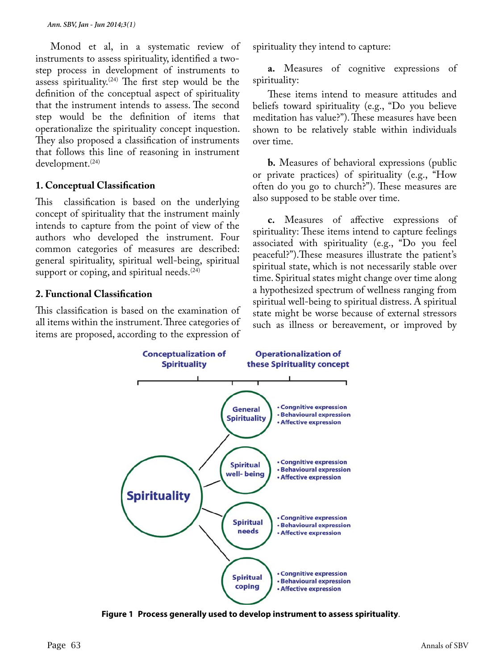Monod et al, in a systematic review of instruments to assess spirituality, identified a twostep process in development of instruments to assess spirituality.<sup> $(24)$ </sup> The first step would be the definition of the conceptual aspect of spirituality that the instrument intends to assess. The second step would be the definition of items that operationalize the spirituality concept inquestion. They also proposed a classification of instruments that follows this line of reasoning in instrument development.(24)

#### **1. Conceptual Classification**

This classification is based on the underlying concept of spirituality that the instrument mainly intends to capture from the point of view of the authors who developed the instrument. Four common categories of measures are described: general spirituality, spiritual well-being, spiritual support or coping, and spiritual needs. $(24)$ 

#### **2. Functional Classification**

This classification is based on the examination of all items within the instrument. Three categories of items are proposed, according to the expression of spirituality they intend to capture:

**a.** Measures of cognitive expressions of spirituality:

These items intend to measure attitudes and beliefs toward spirituality (e.g., "Do you believe meditation has value?"). These measures have been shown to be relatively stable within individuals over time.

**b.** Measures of behavioral expressions (public or private practices) of spirituality (e.g., "How often do you go to church?"). These measures are also supposed to be stable over time.

**c.** Measures of affective expressions of spirituality: These items intend to capture feelings associated with spirituality (e.g., "Do you feel peaceful?").These measures illustrate the patient's spiritual state, which is not necessarily stable over time. Spiritual states might change over time along a hypothesized spectrum of wellness ranging from spiritual well-being to spiritual distress. A spiritual state might be worse because of external stressors such as illness or bereavement, or improved by



**Figure 1 Process generally used to develop instrument to assess spirituality**.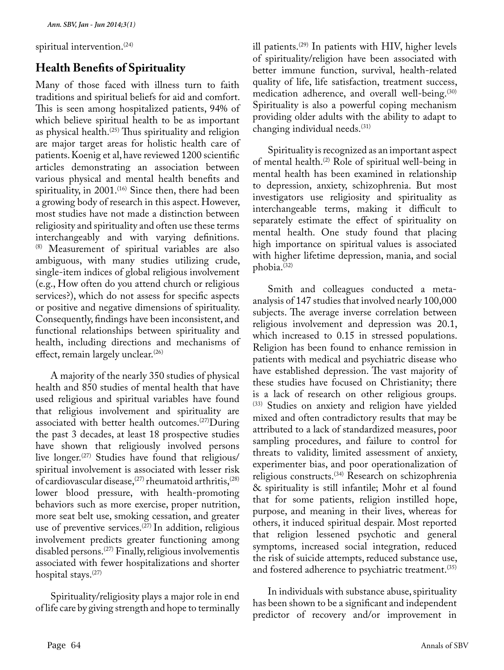spiritual intervention.<sup>(24)</sup>

# **Health Benefits of Spirituality**

Many of those faced with illness turn to faith traditions and spiritual beliefs for aid and comfort. This is seen among hospitalized patients, 94% of which believe spiritual health to be as important as physical health. $(25)$  Thus spirituality and religion are major target areas for holistic health care of patients. Koenig et al, have reviewed 1200 scientific articles demonstrating an association between various physical and mental health benefits and spirituality, in  $2001$ .<sup>(16)</sup> Since then, there had been a growing body of research in this aspect. However, most studies have not made a distinction between religiosity and spirituality and often use these terms interchangeably and with varying definitions. (8) Measurement of spiritual variables are also ambiguous, with many studies utilizing crude, single-item indices of global religious involvement (e.g., How often do you attend church or religious services?), which do not assess for specific aspects or positive and negative dimensions of spirituality. Consequently, findings have been inconsistent, and functional relationships between spirituality and health, including directions and mechanisms of effect, remain largely unclear.<sup>(26)</sup>

A majority of the nearly 350 studies of physical health and 850 studies of mental health that have used religious and spiritual variables have found that religious involvement and spirituality are associated with better health outcomes.<sup> $(27)$ </sup>During the past 3 decades, at least 18 prospective studies have shown that religiously involved persons live longer.<sup>(27)</sup> Studies have found that religious/ spiritual involvement is associated with lesser risk of cardiovascular disease,<sup>(27)</sup> rheumatoid arthritis,<sup>(28)</sup> lower blood pressure, with health-promoting behaviors such as more exercise, proper nutrition, more seat belt use, smoking cessation, and greater use of preventive services.<sup> $(27)$ </sup> In addition, religious involvement predicts greater functioning among disabled persons.(27) Finally, religious involvementis associated with fewer hospitalizations and shorter hospital stays. $(27)$ 

Spirituality/religiosity plays a major role in end of life care by giving strength and hope to terminally ill patients.<sup> $(29)$ </sup> In patients with HIV, higher levels of spirituality/religion have been associated with better immune function, survival, health-related quality of life, life satisfaction, treatment success, medication adherence, and overall well-being.<sup>(30)</sup> Spirituality is also a powerful coping mechanism providing older adults with the ability to adapt to changing individual needs.(31)

Spirituality is recognized as an important aspect of mental health.<sup>(2)</sup> Role of spiritual well-being in mental health has been examined in relationship to depression, anxiety, schizophrenia. But most investigators use religiosity and spirituality as interchangeable terms, making it difficult to separately estimate the effect of spirituality on mental health. One study found that placing high importance on spiritual values is associated with higher lifetime depression, mania, and social phobia.(32)

Smith and colleagues conducted a metaanalysis of 147 studies that involved nearly 100,000 subjects. The average inverse correlation between religious involvement and depression was 20.1, which increased to 0.15 in stressed populations. Religion has been found to enhance remission in patients with medical and psychiatric disease who have established depression. The vast majority of these studies have focused on Christianity; there is a lack of research on other religious groups. (33) Studies on anxiety and religion have yielded mixed and often contradictory results that may be attributed to a lack of standardized measures, poor sampling procedures, and failure to control for threats to validity, limited assessment of anxiety, experimenter bias, and poor operationalization of religious constructs.(34) Research on schizophrenia & spirituality is still infantile; Mohr et al found that for some patients, religion instilled hope, purpose, and meaning in their lives, whereas for others, it induced spiritual despair. Most reported that religion lessened psychotic and general symptoms, increased social integration, reduced the risk of suicide attempts, reduced substance use, and fostered adherence to psychiatric treatment.<sup>(35)</sup>

In individuals with substance abuse, spirituality has been shown to be a significant and independent predictor of recovery and/or improvement in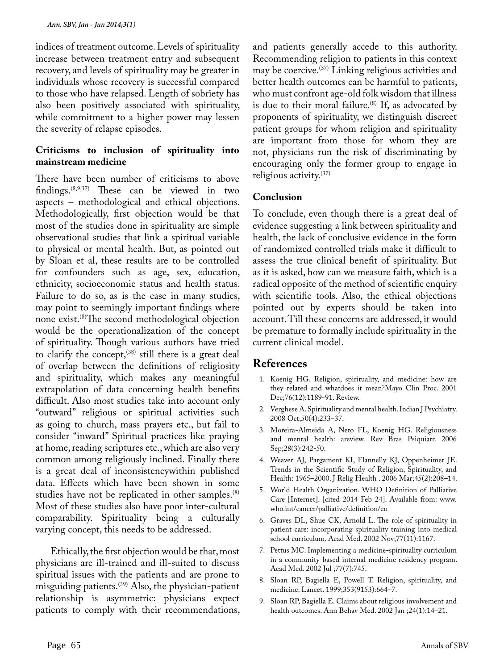indices of treatment outcome. Levels of spirituality increase between treatment entry and subsequent recovery, and levels of spirituality may be greater in individuals whose recovery is successful compared to those who have relapsed. Length of sobriety has also been positively associated with spirituality, while commitment to a higher power may lessen the severity of relapse episodes.

### **Criticisms to inclusion of spirituality into mainstream medicine**

There have been number of criticisms to above findings.(8,9,37) These can be viewed in two aspects – methodological and ethical objections. Methodologically, first objection would be that most of the studies done in spirituality are simple observational studies that link a spiritual variable to physical or mental health. But, as pointed out by Sloan et al, these results are to be controlled for confounders such as age, sex, education, ethnicity, socioeconomic status and health status. Failure to do so, as is the case in many studies, may point to seemingly important findings where none exist.(8)The second methodological objection would be the operationalization of the concept of spirituality. Though various authors have tried to clarify the concept, $(38)$  still there is a great deal of overlap between the definitions of religiosity and spirituality, which makes any meaningful extrapolation of data concerning health benefits difficult. Also most studies take into account only "outward" religious or spiritual activities such as going to church, mass prayers etc., but fail to consider "inward" Spiritual practices like praying at home, reading scriptures etc., which are also very common among religiously inclined. Finally there is a great deal of inconsistencywithin published data. Effects which have been shown in some studies have not be replicated in other samples.<sup>(8)</sup> Most of these studies also have poor inter-cultural comparability. Spirituality being a culturally varying concept, this needs to be addressed.

Ethically, the first objection would be that, most physicians are ill-trained and ill-suited to discuss spiritual issues with the patients and are prone to misguiding patients.(39) Also, the physician-patient relationship is asymmetric: physicians expect patients to comply with their recommendations, and patients generally accede to this authority. Recommending religion to patients in this context may be coercive.(37) Linking religious activities and better health outcomes can be harmful to patients, who must confront age-old folk wisdom that illness is due to their moral failure. $(8)$  If, as advocated by proponents of spirituality, we distinguish discreet patient groups for whom religion and spirituality are important from those for whom they are not, physicians run the risk of discriminating by encouraging only the former group to engage in religious activity.(37)

#### **Conclusion**

To conclude, even though there is a great deal of evidence suggesting a link between spirituality and health, the lack of conclusive evidence in the form of randomized controlled trials make it difficult to assess the true clinical benefit of spirituality. But as it is asked, how can we measure faith, which is a radical opposite of the method of scientific enquiry with scientific tools. Also, the ethical objections pointed out by experts should be taken into account. Till these concerns are addressed, it would be premature to formally include spirituality in the current clinical model.

## **References**

- 1. Koenig HG. Religion, spirituality, and medicine: how are they related and whatdoes it mean?Mayo Clin Proc. 2001 Dec;76(12):1189-91. Review.
- 2. Verghese A. Spirituality and mental health. Indian J Psychiatry. 2008 Oct;50(4):233–37.
- 3. Moreira-Almeida A, Neto FL, Koenig HG. Religiousness and mental health: areview. Rev Bras Psiquiatr. 2006 Sep;28(3):242-50.
- 4. Weaver AJ, Pargament KI, Flannelly KJ, Oppenheimer JE. Trends in the Scientific Study of Religion, Spirituality, and Health: 1965–2000. J Relig Health . 2006 Mar;45(2):208–14.
- 5. World Health Organization. WHO Definition of Palliative Care [Internet]. [cited 2014 Feb 24]. Available from: www. who.int/cancer/palliative/definition/en
- 6. Graves DL, Shue CK, Arnold L. The role of spirituality in patient care: incorporating spirituality training into medical school curriculum. Acad Med. 2002 Nov;77(11):1167.
- 7. Pettus MC. Implementing a medicine-spirituality curriculum in a community-based internal medicine residency program. Acad Med. 2002 Jul ;77(7):745.
- 8. Sloan RP, Bagiella E, Powell T. Religion, spirituality, and medicine. Lancet. 1999;353(9153):664–7.
- 9. Sloan RP, Bagiella E. Claims about religious involvement and health outcomes. Ann Behav Med. 2002 Jan ;24(1):14–21.